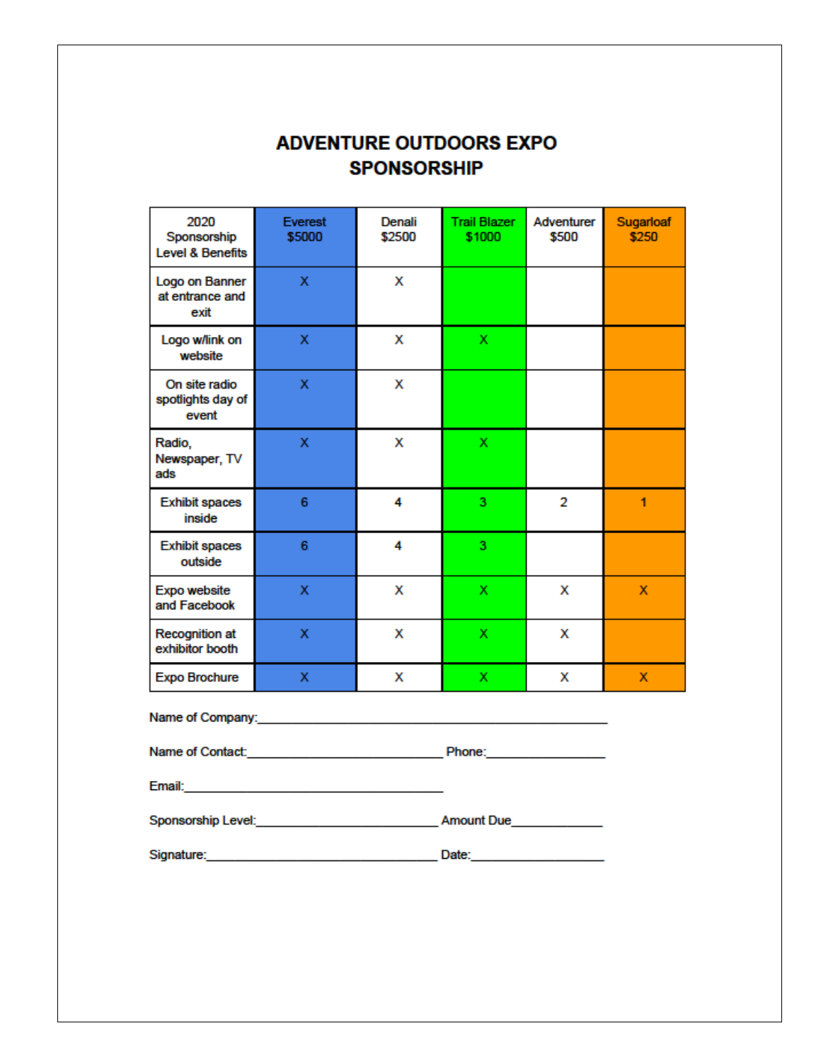## **ADVENTURE OUTDOORS EXPO SPONSORSHIP**

| 2020<br>Sponsorship<br>Level & Benefits                                                                      | Everest<br>\$5000 | Denali<br>\$2500 | <b>Trail Blazer</b><br>\$1000                                                                                                                                                                                                  | Adventurer<br>\$500 | Sugarloaf<br>\$250 |
|--------------------------------------------------------------------------------------------------------------|-------------------|------------------|--------------------------------------------------------------------------------------------------------------------------------------------------------------------------------------------------------------------------------|---------------------|--------------------|
| Logo on Banner<br>at entrance and<br>exit                                                                    | x                 | x                |                                                                                                                                                                                                                                |                     |                    |
| Logo w/link on<br>website                                                                                    | x                 | x                | x                                                                                                                                                                                                                              |                     |                    |
| On site radio<br>spotlights day of<br>event                                                                  | x                 | x                |                                                                                                                                                                                                                                |                     |                    |
| Radio,<br>Newspaper, TV<br>ads                                                                               | X                 | x                | x                                                                                                                                                                                                                              |                     |                    |
| <b>Exhibit spaces</b><br>inside                                                                              | 6                 | 4                | 3                                                                                                                                                                                                                              | $\overline{2}$      | 1                  |
| <b>Exhibit spaces</b><br>outside                                                                             | 6                 | 4                | 3                                                                                                                                                                                                                              |                     |                    |
| Expo website<br>and Facebook                                                                                 | x                 | x                | x                                                                                                                                                                                                                              | x                   | x                  |
| Recognition at<br>exhibitor booth                                                                            | X                 | x                | x                                                                                                                                                                                                                              | x                   |                    |
| <b>Expo Brochure</b>                                                                                         | x                 | x                | x                                                                                                                                                                                                                              | x                   | x                  |
| Name of Company: Name of Company:                                                                            |                   |                  |                                                                                                                                                                                                                                |                     |                    |
| Name of Contact: <u>____________________________</u>                                                         |                   |                  | Phone: Phone Phone Phone Phone Phone Phone Phone Phone Phone Phone Phone Phone Phone Phone Phone Phone Phone Phone Phone Phone Phone Phone Phone Phone Phone Phone Phone Phone Phone Phone Phone Phone Phone Phone Phone Phone |                     |                    |
| Email: Email: All Annual Annual Annual Annual Annual Annual Annual Annual Annual Annual Annual Annual Annual |                   |                  |                                                                                                                                                                                                                                |                     |                    |
| Sponsorship Level: <b>Example 2014</b><br>Amount Due                                                         |                   |                  |                                                                                                                                                                                                                                |                     |                    |
| Signature:                                                                                                   |                   |                  | Date:                                                                                                                                                                                                                          |                     |                    |